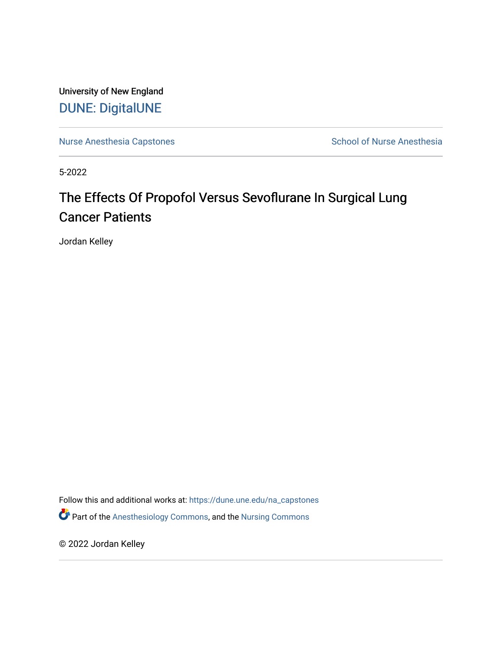University of New England [DUNE: DigitalUNE](https://dune.une.edu/) 

[Nurse Anesthesia Capstones](https://dune.une.edu/na_capstones) **School of Nurse Anesthesia** School of Nurse Anesthesia

5-2022

# The Effects Of Propofol Versus Sevoflurane In Surgical Lung Cancer Patients

Jordan Kelley

Follow this and additional works at: [https://dune.une.edu/na\\_capstones](https://dune.une.edu/na_capstones?utm_source=dune.une.edu%2Fna_capstones%2F43&utm_medium=PDF&utm_campaign=PDFCoverPages) Part of the [Anesthesiology Commons](https://network.bepress.com/hgg/discipline/682?utm_source=dune.une.edu%2Fna_capstones%2F43&utm_medium=PDF&utm_campaign=PDFCoverPages), and the [Nursing Commons](https://network.bepress.com/hgg/discipline/718?utm_source=dune.une.edu%2Fna_capstones%2F43&utm_medium=PDF&utm_campaign=PDFCoverPages) 

© 2022 Jordan Kelley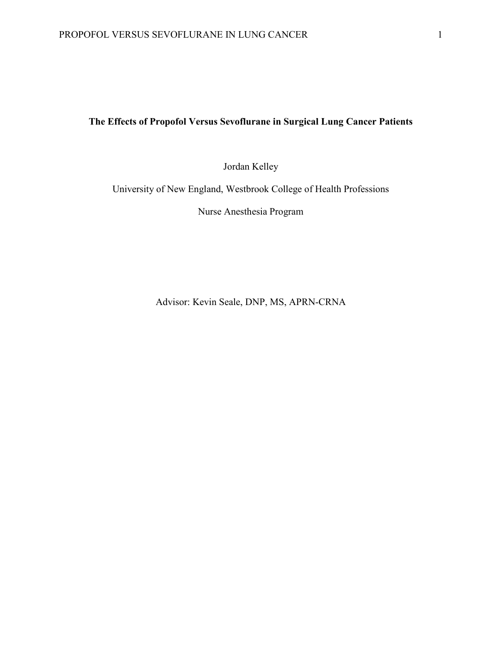## **The Effects of Propofol Versus Sevoflurane in Surgical Lung Cancer Patients**

Jordan Kelley

University of New England, Westbrook College of Health Professions

Nurse Anesthesia Program

Advisor: Kevin Seale, DNP, MS, APRN-CRNA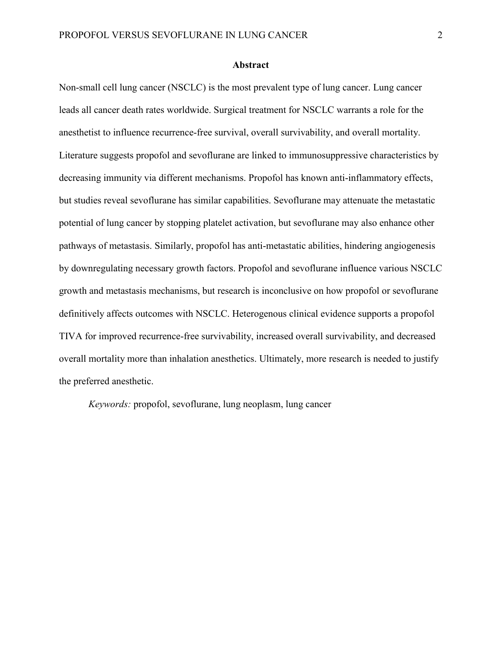#### **Abstract**

Non-small cell lung cancer (NSCLC) is the most prevalent type of lung cancer. Lung cancer leads all cancer death rates worldwide. Surgical treatment for NSCLC warrants a role for the anesthetist to influence recurrence-free survival, overall survivability, and overall mortality. Literature suggests propofol and sevoflurane are linked to immunosuppressive characteristics by decreasing immunity via different mechanisms. Propofol has known anti-inflammatory effects, but studies reveal sevoflurane has similar capabilities. Sevoflurane may attenuate the metastatic potential of lung cancer by stopping platelet activation, but sevoflurane may also enhance other pathways of metastasis. Similarly, propofol has anti-metastatic abilities, hindering angiogenesis by downregulating necessary growth factors. Propofol and sevoflurane influence various NSCLC growth and metastasis mechanisms, but research is inconclusive on how propofol or sevoflurane definitively affects outcomes with NSCLC. Heterogenous clinical evidence supports a propofol TIVA for improved recurrence-free survivability, increased overall survivability, and decreased overall mortality more than inhalation anesthetics. Ultimately, more research is needed to justify the preferred anesthetic.

*Keywords:* propofol, sevoflurane, lung neoplasm, lung cancer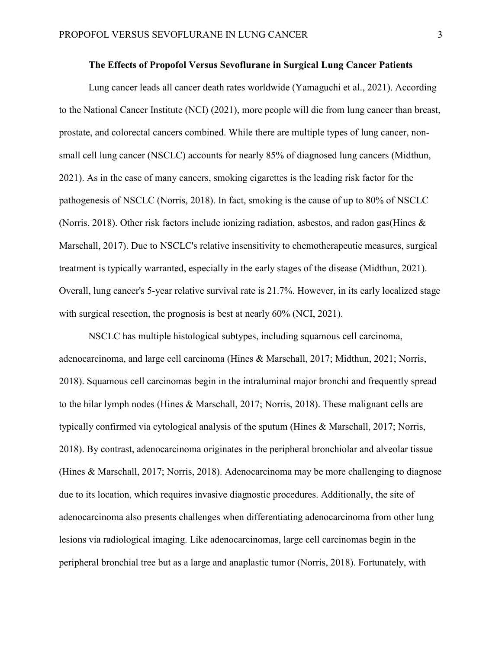## **The Effects of Propofol Versus Sevoflurane in Surgical Lung Cancer Patients**

Lung cancer leads all cancer death rates worldwide (Yamaguchi et al., 2021). According to the National Cancer Institute (NCI) (2021), more people will die from lung cancer than breast, prostate, and colorectal cancers combined. While there are multiple types of lung cancer, nonsmall cell lung cancer (NSCLC) accounts for nearly 85% of diagnosed lung cancers (Midthun, 2021). As in the case of many cancers, smoking cigarettes is the leading risk factor for the pathogenesis of NSCLC (Norris, 2018). In fact, smoking is the cause of up to 80% of NSCLC (Norris, 2018). Other risk factors include ionizing radiation, asbestos, and radon gas(Hines & Marschall, 2017). Due to NSCLC's relative insensitivity to chemotherapeutic measures, surgical treatment is typically warranted, especially in the early stages of the disease (Midthun, 2021). Overall, lung cancer's 5-year relative survival rate is 21.7%. However, in its early localized stage with surgical resection, the prognosis is best at nearly 60% (NCI, 2021).

NSCLC has multiple histological subtypes, including squamous cell carcinoma, adenocarcinoma, and large cell carcinoma (Hines & Marschall, 2017; Midthun, 2021; Norris, 2018). Squamous cell carcinomas begin in the intraluminal major bronchi and frequently spread to the hilar lymph nodes (Hines & Marschall, 2017; Norris, 2018). These malignant cells are typically confirmed via cytological analysis of the sputum (Hines & Marschall, 2017; Norris, 2018). By contrast, adenocarcinoma originates in the peripheral bronchiolar and alveolar tissue (Hines & Marschall, 2017; Norris, 2018). Adenocarcinoma may be more challenging to diagnose due to its location, which requires invasive diagnostic procedures. Additionally, the site of adenocarcinoma also presents challenges when differentiating adenocarcinoma from other lung lesions via radiological imaging. Like adenocarcinomas, large cell carcinomas begin in the peripheral bronchial tree but as a large and anaplastic tumor (Norris, 2018). Fortunately, with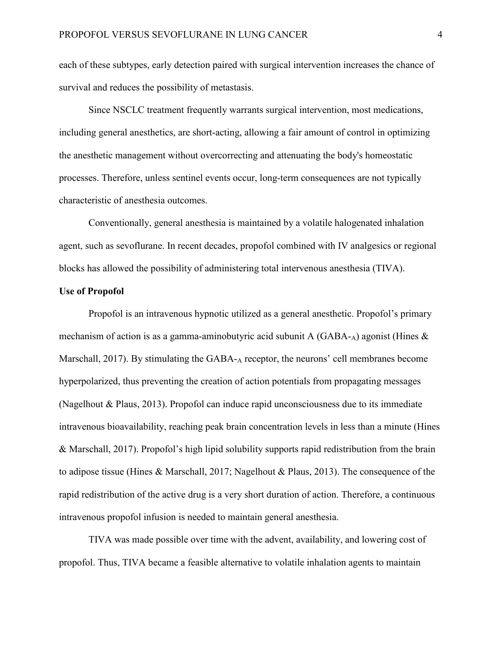each of these subtypes, early detection paired with surgical intervention increases the chance of survival and reduces the possibility of metastasis.

Since NSCLC treatment frequently warrants surgical intervention, most medications, including general anesthetics, are short-acting, allowing a fair amount of control in optimizing the anesthetic management without overcorrecting and attenuating the body's homeostatic processes. Therefore, unless sentinel events occur, long-term consequences are not typically characteristic of anesthesia outcomes.

Conventionally, general anesthesia is maintained by a volatile halogenated inhalation agent, such as sevoflurane. In recent decades, propofol combined with IV analgesics or regional blocks has allowed the possibility of administering total intervenous anesthesia (TIVA).

#### **Use of Propofol**

Propofol is an intravenous hypnotic utilized as a general anesthetic. Propofol's primary mechanism of action is as a gamma-aminobutyric acid subunit A  $(GABA-A)$  agonist (Hines & Marschall, 2017). By stimulating the GABA-A receptor, the neurons' cell membranes become hyperpolarized, thus preventing the creation of action potentials from propagating messages (Nagelhout & Plaus, 2013). Propofol can induce rapid unconsciousness due to its immediate intravenous bioavailability, reaching peak brain concentration levels in less than a minute (Hines & Marschall, 2017). Propofol's high lipid solubility supports rapid redistribution from the brain to adipose tissue (Hines & Marschall, 2017; Nagelhout & Plaus, 2013). The consequence of the rapid redistribution of the active drug is a very short duration of action. Therefore, a continuous intravenous propofol infusion is needed to maintain general anesthesia.

TIVA was made possible over time with the advent, availability, and lowering cost of propofol. Thus, TIVA became a feasible alternative to volatile inhalation agents to maintain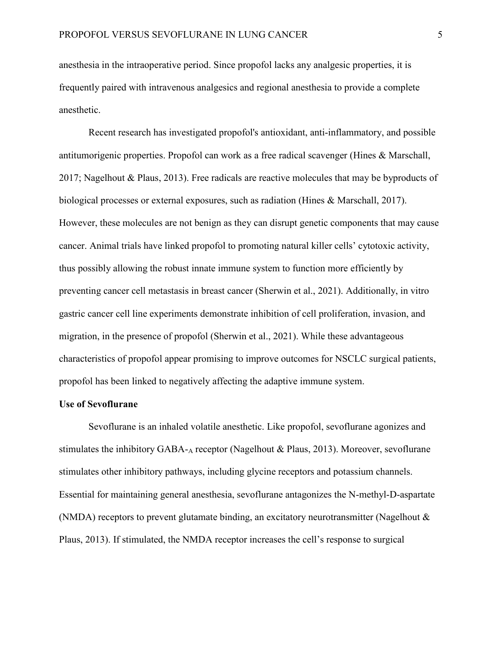anesthesia in the intraoperative period. Since propofol lacks any analgesic properties, it is frequently paired with intravenous analgesics and regional anesthesia to provide a complete anesthetic.

Recent research has investigated propofol's antioxidant, anti-inflammatory, and possible antitumorigenic properties. Propofol can work as a free radical scavenger (Hines & Marschall, 2017; Nagelhout & Plaus, 2013). Free radicals are reactive molecules that may be byproducts of biological processes or external exposures, such as radiation (Hines & Marschall, 2017). However, these molecules are not benign as they can disrupt genetic components that may cause cancer. Animal trials have linked propofol to promoting natural killer cells' cytotoxic activity, thus possibly allowing the robust innate immune system to function more efficiently by preventing cancer cell metastasis in breast cancer (Sherwin et al., 2021). Additionally, in vitro gastric cancer cell line experiments demonstrate inhibition of cell proliferation, invasion, and migration, in the presence of propofol (Sherwin et al., 2021). While these advantageous characteristics of propofol appear promising to improve outcomes for NSCLC surgical patients, propofol has been linked to negatively affecting the adaptive immune system.

#### **Use of Sevoflurane**

Sevoflurane is an inhaled volatile anesthetic. Like propofol, sevoflurane agonizes and stimulates the inhibitory GABA-A receptor (Nagelhout & Plaus, 2013). Moreover, sevoflurane stimulates other inhibitory pathways, including glycine receptors and potassium channels. Essential for maintaining general anesthesia, sevoflurane antagonizes the N-methyl-D-aspartate (NMDA) receptors to prevent glutamate binding, an excitatory neurotransmitter (Nagelhout & Plaus, 2013). If stimulated, the NMDA receptor increases the cell's response to surgical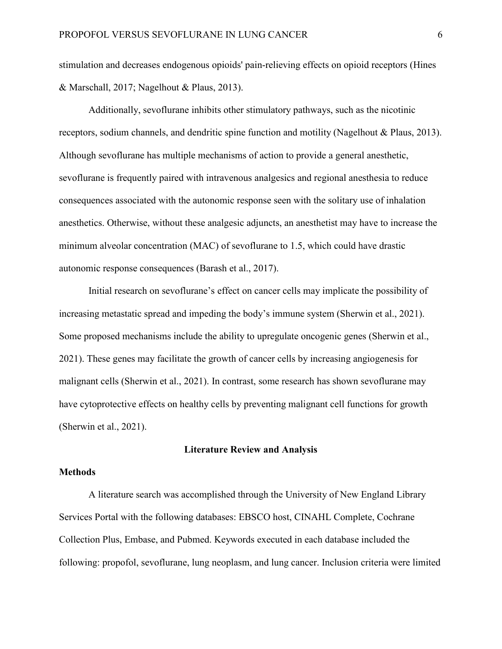stimulation and decreases endogenous opioids' pain-relieving effects on opioid receptors (Hines & Marschall, 2017; Nagelhout & Plaus, 2013).

Additionally, sevoflurane inhibits other stimulatory pathways, such as the nicotinic receptors, sodium channels, and dendritic spine function and motility (Nagelhout & Plaus, 2013). Although sevoflurane has multiple mechanisms of action to provide a general anesthetic, sevoflurane is frequently paired with intravenous analgesics and regional anesthesia to reduce consequences associated with the autonomic response seen with the solitary use of inhalation anesthetics. Otherwise, without these analgesic adjuncts, an anesthetist may have to increase the minimum alveolar concentration (MAC) of sevoflurane to 1.5, which could have drastic autonomic response consequences (Barash et al., 2017).

Initial research on sevoflurane's effect on cancer cells may implicate the possibility of increasing metastatic spread and impeding the body's immune system (Sherwin et al., 2021). Some proposed mechanisms include the ability to upregulate oncogenic genes (Sherwin et al., 2021). These genes may facilitate the growth of cancer cells by increasing angiogenesis for malignant cells (Sherwin et al., 2021). In contrast, some research has shown sevoflurane may have cytoprotective effects on healthy cells by preventing malignant cell functions for growth (Sherwin et al., 2021).

#### **Literature Review and Analysis**

#### **Methods**

A literature search was accomplished through the University of New England Library Services Portal with the following databases: EBSCO host, CINAHL Complete, Cochrane Collection Plus, Embase, and Pubmed. Keywords executed in each database included the following: propofol, sevoflurane, lung neoplasm, and lung cancer. Inclusion criteria were limited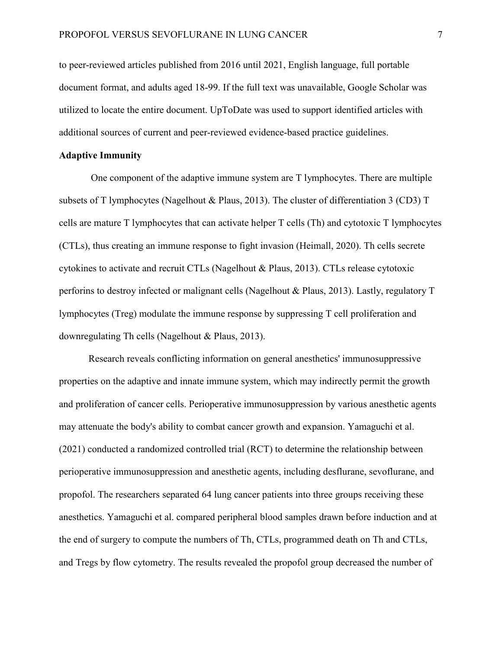to peer-reviewed articles published from 2016 until 2021, English language, full portable document format, and adults aged 18-99. If the full text was unavailable, Google Scholar was utilized to locate the entire document. UpToDate was used to support identified articles with additional sources of current and peer-reviewed evidence-based practice guidelines.

## **Adaptive Immunity**

One component of the adaptive immune system are T lymphocytes. There are multiple subsets of T lymphocytes (Nagelhout & Plaus, 2013). The cluster of differentiation 3 (CD3) T cells are mature T lymphocytes that can activate helper T cells (Th) and cytotoxic T lymphocytes (CTLs), thus creating an immune response to fight invasion (Heimall, 2020). Th cells secrete cytokines to activate and recruit CTLs (Nagelhout & Plaus, 2013). CTLs release cytotoxic perforins to destroy infected or malignant cells (Nagelhout & Plaus, 2013). Lastly, regulatory T lymphocytes (Treg) modulate the immune response by suppressing T cell proliferation and downregulating Th cells (Nagelhout & Plaus, 2013).

Research reveals conflicting information on general anesthetics' immunosuppressive properties on the adaptive and innate immune system, which may indirectly permit the growth and proliferation of cancer cells. Perioperative immunosuppression by various anesthetic agents may attenuate the body's ability to combat cancer growth and expansion. Yamaguchi et al. (2021) conducted a randomized controlled trial (RCT) to determine the relationship between perioperative immunosuppression and anesthetic agents, including desflurane, sevoflurane, and propofol. The researchers separated 64 lung cancer patients into three groups receiving these anesthetics. Yamaguchi et al. compared peripheral blood samples drawn before induction and at the end of surgery to compute the numbers of Th, CTLs, programmed death on Th and CTLs, and Tregs by flow cytometry. The results revealed the propofol group decreased the number of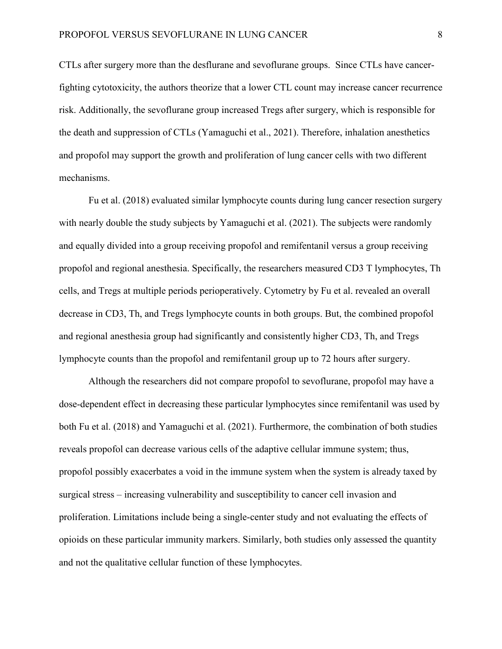CTLs after surgery more than the desflurane and sevoflurane groups. Since CTLs have cancerfighting cytotoxicity, the authors theorize that a lower CTL count may increase cancer recurrence risk. Additionally, the sevoflurane group increased Tregs after surgery, which is responsible for the death and suppression of CTLs (Yamaguchi et al., 2021). Therefore, inhalation anesthetics and propofol may support the growth and proliferation of lung cancer cells with two different mechanisms.

Fu et al. (2018) evaluated similar lymphocyte counts during lung cancer resection surgery with nearly double the study subjects by Yamaguchi et al. (2021). The subjects were randomly and equally divided into a group receiving propofol and remifentanil versus a group receiving propofol and regional anesthesia. Specifically, the researchers measured CD3 T lymphocytes, Th cells, and Tregs at multiple periods perioperatively. Cytometry by Fu et al. revealed an overall decrease in CD3, Th, and Tregs lymphocyte counts in both groups. But, the combined propofol and regional anesthesia group had significantly and consistently higher CD3, Th, and Tregs lymphocyte counts than the propofol and remifentanil group up to 72 hours after surgery.

Although the researchers did not compare propofol to sevoflurane, propofol may have a dose-dependent effect in decreasing these particular lymphocytes since remifentanil was used by both Fu et al. (2018) and Yamaguchi et al. (2021). Furthermore, the combination of both studies reveals propofol can decrease various cells of the adaptive cellular immune system; thus, propofol possibly exacerbates a void in the immune system when the system is already taxed by surgical stress – increasing vulnerability and susceptibility to cancer cell invasion and proliferation. Limitations include being a single-center study and not evaluating the effects of opioids on these particular immunity markers. Similarly, both studies only assessed the quantity and not the qualitative cellular function of these lymphocytes.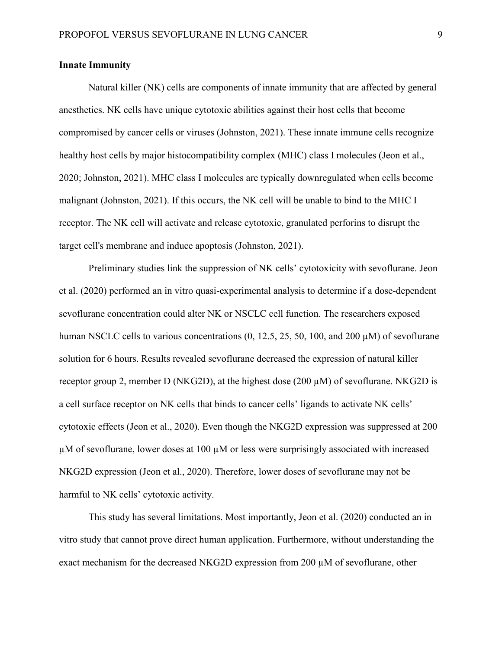## **Innate Immunity**

Natural killer (NK) cells are components of innate immunity that are affected by general anesthetics. NK cells have unique cytotoxic abilities against their host cells that become compromised by cancer cells or viruses (Johnston, 2021). These innate immune cells recognize healthy host cells by major histocompatibility complex (MHC) class I molecules (Jeon et al., 2020; Johnston, 2021). MHC class I molecules are typically downregulated when cells become malignant (Johnston, 2021). If this occurs, the NK cell will be unable to bind to the MHC I receptor. The NK cell will activate and release cytotoxic, granulated perforins to disrupt the target cell's membrane and induce apoptosis (Johnston, 2021).

Preliminary studies link the suppression of NK cells' cytotoxicity with sevoflurane. Jeon et al. (2020) performed an in vitro quasi-experimental analysis to determine if a dose-dependent sevoflurane concentration could alter NK or NSCLC cell function. The researchers exposed human NSCLC cells to various concentrations (0, 12.5, 25, 50, 100, and 200 µM) of sevoflurane solution for 6 hours. Results revealed sevoflurane decreased the expression of natural killer receptor group 2, member D (NKG2D), at the highest dose (200  $\mu$ M) of sevoflurane. NKG2D is a cell surface receptor on NK cells that binds to cancer cells' ligands to activate NK cells' cytotoxic effects (Jeon et al., 2020). Even though the NKG2D expression was suppressed at 200 µM of sevoflurane, lower doses at 100 µM or less were surprisingly associated with increased NKG2D expression (Jeon et al., 2020). Therefore, lower doses of sevoflurane may not be harmful to NK cells' cytotoxic activity.

This study has several limitations. Most importantly, Jeon et al. (2020) conducted an in vitro study that cannot prove direct human application. Furthermore, without understanding the exact mechanism for the decreased NKG2D expression from 200 µM of sevoflurane, other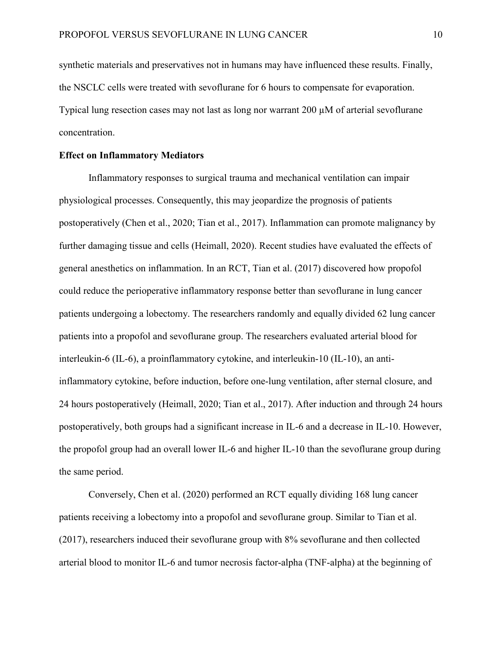synthetic materials and preservatives not in humans may have influenced these results. Finally, the NSCLC cells were treated with sevoflurane for 6 hours to compensate for evaporation. Typical lung resection cases may not last as long nor warrant 200 µM of arterial sevoflurane concentration.

## **Effect on Inflammatory Mediators**

Inflammatory responses to surgical trauma and mechanical ventilation can impair physiological processes. Consequently, this may jeopardize the prognosis of patients postoperatively (Chen et al., 2020; Tian et al., 2017). Inflammation can promote malignancy by further damaging tissue and cells (Heimall, 2020). Recent studies have evaluated the effects of general anesthetics on inflammation. In an RCT, Tian et al. (2017) discovered how propofol could reduce the perioperative inflammatory response better than sevoflurane in lung cancer patients undergoing a lobectomy. The researchers randomly and equally divided 62 lung cancer patients into a propofol and sevoflurane group. The researchers evaluated arterial blood for interleukin-6 (IL-6), a proinflammatory cytokine, and interleukin-10 (IL-10), an antiinflammatory cytokine, before induction, before one-lung ventilation, after sternal closure, and 24 hours postoperatively (Heimall, 2020; Tian et al., 2017). After induction and through 24 hours postoperatively, both groups had a significant increase in IL-6 and a decrease in IL-10. However, the propofol group had an overall lower IL-6 and higher IL-10 than the sevoflurane group during the same period.

Conversely, Chen et al. (2020) performed an RCT equally dividing 168 lung cancer patients receiving a lobectomy into a propofol and sevoflurane group. Similar to Tian et al. (2017), researchers induced their sevoflurane group with 8% sevoflurane and then collected arterial blood to monitor IL-6 and tumor necrosis factor-alpha (TNF-alpha) at the beginning of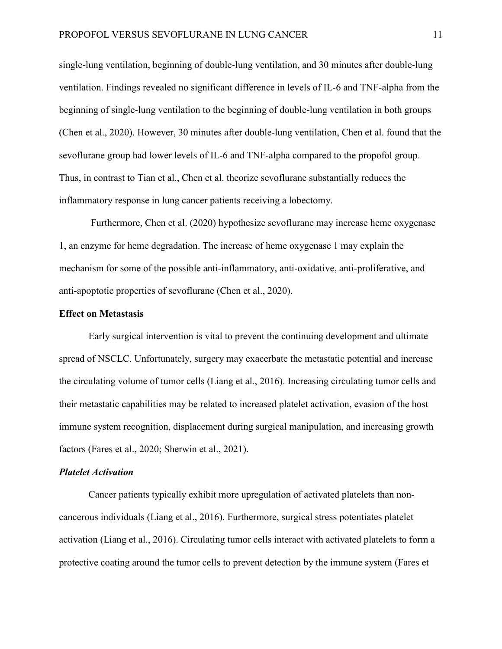single-lung ventilation, beginning of double-lung ventilation, and 30 minutes after double-lung ventilation. Findings revealed no significant difference in levels of IL-6 and TNF-alpha from the beginning of single-lung ventilation to the beginning of double-lung ventilation in both groups (Chen et al., 2020). However, 30 minutes after double-lung ventilation, Chen et al. found that the sevoflurane group had lower levels of IL-6 and TNF-alpha compared to the propofol group. Thus, in contrast to Tian et al., Chen et al. theorize sevoflurane substantially reduces the inflammatory response in lung cancer patients receiving a lobectomy.

Furthermore, Chen et al. (2020) hypothesize sevoflurane may increase heme oxygenase 1, an enzyme for heme degradation. The increase of heme oxygenase 1 may explain the mechanism for some of the possible anti-inflammatory, anti-oxidative, anti-proliferative, and anti-apoptotic properties of sevoflurane (Chen et al., 2020).

#### **Effect on Metastasis**

Early surgical intervention is vital to prevent the continuing development and ultimate spread of NSCLC. Unfortunately, surgery may exacerbate the metastatic potential and increase the circulating volume of tumor cells (Liang et al., 2016). Increasing circulating tumor cells and their metastatic capabilities may be related to increased platelet activation, evasion of the host immune system recognition, displacement during surgical manipulation, and increasing growth factors (Fares et al., 2020; Sherwin et al., 2021).

#### *Platelet Activation*

Cancer patients typically exhibit more upregulation of activated platelets than noncancerous individuals (Liang et al., 2016). Furthermore, surgical stress potentiates platelet activation (Liang et al., 2016). Circulating tumor cells interact with activated platelets to form a protective coating around the tumor cells to prevent detection by the immune system (Fares et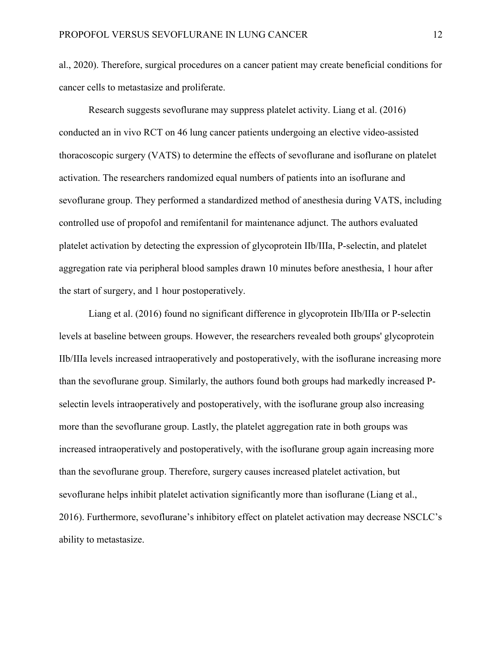al., 2020). Therefore, surgical procedures on a cancer patient may create beneficial conditions for cancer cells to metastasize and proliferate.

Research suggests sevoflurane may suppress platelet activity. Liang et al. (2016) conducted an in vivo RCT on 46 lung cancer patients undergoing an elective video-assisted thoracoscopic surgery (VATS) to determine the effects of sevoflurane and isoflurane on platelet activation. The researchers randomized equal numbers of patients into an isoflurane and sevoflurane group. They performed a standardized method of anesthesia during VATS, including controlled use of propofol and remifentanil for maintenance adjunct. The authors evaluated platelet activation by detecting the expression of glycoprotein IIb/IIIa, P-selectin, and platelet aggregation rate via peripheral blood samples drawn 10 minutes before anesthesia, 1 hour after the start of surgery, and 1 hour postoperatively.

Liang et al. (2016) found no significant difference in glycoprotein IIb/IIIa or P-selectin levels at baseline between groups. However, the researchers revealed both groups' glycoprotein IIb/IIIa levels increased intraoperatively and postoperatively, with the isoflurane increasing more than the sevoflurane group. Similarly, the authors found both groups had markedly increased Pselectin levels intraoperatively and postoperatively, with the isoflurane group also increasing more than the sevoflurane group. Lastly, the platelet aggregation rate in both groups was increased intraoperatively and postoperatively, with the isoflurane group again increasing more than the sevoflurane group. Therefore, surgery causes increased platelet activation, but sevoflurane helps inhibit platelet activation significantly more than isoflurane (Liang et al., 2016). Furthermore, sevoflurane's inhibitory effect on platelet activation may decrease NSCLC's ability to metastasize.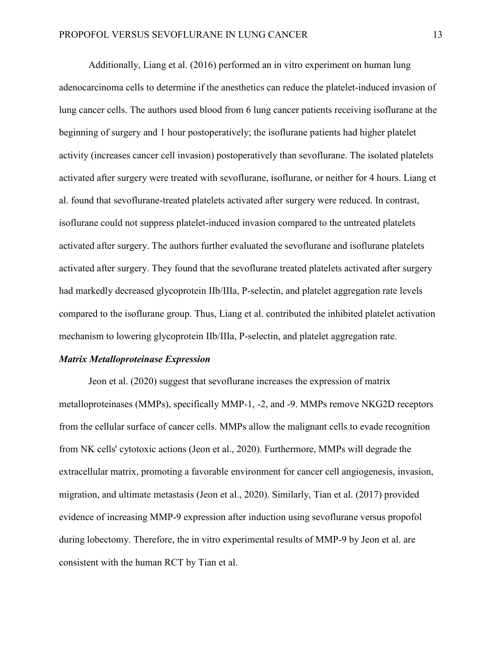Additionally, Liang et al. (2016) performed an in vitro experiment on human lung adenocarcinoma cells to determine if the anesthetics can reduce the platelet-induced invasion of lung cancer cells. The authors used blood from 6 lung cancer patients receiving isoflurane at the beginning of surgery and 1 hour postoperatively; the isoflurane patients had higher platelet activity (increases cancer cell invasion) postoperatively than sevoflurane. The isolated platelets activated after surgery were treated with sevoflurane, isoflurane, or neither for 4 hours. Liang et al. found that sevoflurane-treated platelets activated after surgery were reduced. In contrast, isoflurane could not suppress platelet-induced invasion compared to the untreated platelets activated after surgery. The authors further evaluated the sevoflurane and isoflurane platelets activated after surgery. They found that the sevoflurane treated platelets activated after surgery had markedly decreased glycoprotein IIb/IIIa, P-selectin, and platelet aggregation rate levels compared to the isoflurane group. Thus, Liang et al. contributed the inhibited platelet activation mechanism to lowering glycoprotein IIb/IIIa, P-selectin, and platelet aggregation rate.

#### *Matrix Metalloproteinase Expression*

Jeon et al. (2020) suggest that sevoflurane increases the expression of matrix metalloproteinases (MMPs), specifically MMP-1, -2, and -9. MMPs remove NKG2D receptors from the cellular surface of cancer cells. MMPs allow the malignant cells to evade recognition from NK cells' cytotoxic actions (Jeon et al., 2020). Furthermore, MMPs will degrade the extracellular matrix, promoting a favorable environment for cancer cell angiogenesis, invasion, migration, and ultimate metastasis (Jeon et al., 2020). Similarly, Tian et al. (2017) provided evidence of increasing MMP-9 expression after induction using sevoflurane versus propofol during lobectomy. Therefore, the in vitro experimental results of MMP-9 by Jeon et al. are consistent with the human RCT by Tian et al.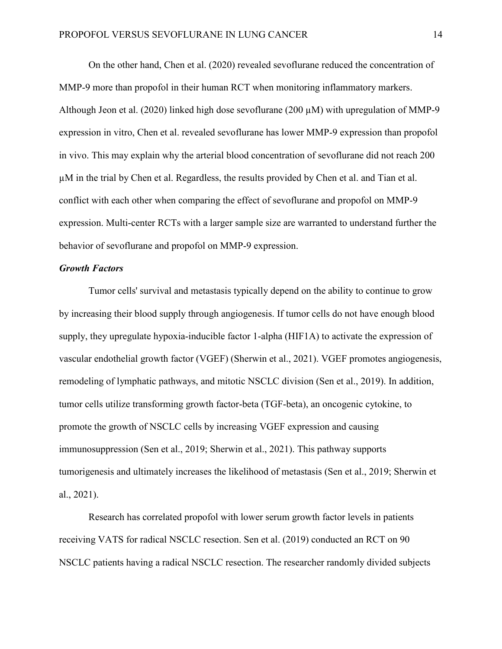On the other hand, Chen et al. (2020) revealed sevoflurane reduced the concentration of MMP-9 more than propofol in their human RCT when monitoring inflammatory markers. Although Jeon et al. (2020) linked high dose sevoflurane (200  $\mu$ M) with upregulation of MMP-9 expression in vitro, Chen et al. revealed sevoflurane has lower MMP-9 expression than propofol in vivo. This may explain why the arterial blood concentration of sevoflurane did not reach 200 µM in the trial by Chen et al. Regardless, the results provided by Chen et al. and Tian et al. conflict with each other when comparing the effect of sevoflurane and propofol on MMP-9 expression. Multi-center RCTs with a larger sample size are warranted to understand further the behavior of sevoflurane and propofol on MMP-9 expression.

## *Growth Factors*

Tumor cells' survival and metastasis typically depend on the ability to continue to grow by increasing their blood supply through angiogenesis. If tumor cells do not have enough blood supply, they upregulate hypoxia-inducible factor 1-alpha (HIF1A) to activate the expression of vascular endothelial growth factor (VGEF) (Sherwin et al., 2021). VGEF promotes angiogenesis, remodeling of lymphatic pathways, and mitotic NSCLC division (Sen et al., 2019). In addition, tumor cells utilize transforming growth factor-beta (TGF-beta), an oncogenic cytokine, to promote the growth of NSCLC cells by increasing VGEF expression and causing immunosuppression (Sen et al., 2019; Sherwin et al., 2021). This pathway supports tumorigenesis and ultimately increases the likelihood of metastasis (Sen et al., 2019; Sherwin et al., 2021).

Research has correlated propofol with lower serum growth factor levels in patients receiving VATS for radical NSCLC resection. Sen et al. (2019) conducted an RCT on 90 NSCLC patients having a radical NSCLC resection. The researcher randomly divided subjects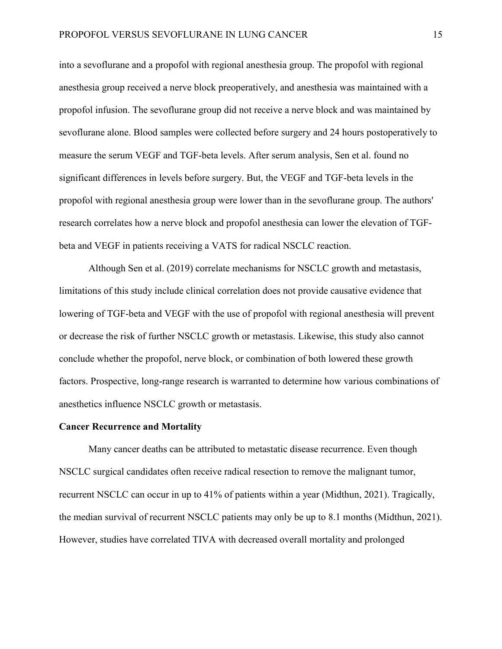into a sevoflurane and a propofol with regional anesthesia group. The propofol with regional anesthesia group received a nerve block preoperatively, and anesthesia was maintained with a propofol infusion. The sevoflurane group did not receive a nerve block and was maintained by sevoflurane alone. Blood samples were collected before surgery and 24 hours postoperatively to measure the serum VEGF and TGF-beta levels. After serum analysis, Sen et al. found no significant differences in levels before surgery. But, the VEGF and TGF-beta levels in the propofol with regional anesthesia group were lower than in the sevoflurane group. The authors' research correlates how a nerve block and propofol anesthesia can lower the elevation of TGFbeta and VEGF in patients receiving a VATS for radical NSCLC reaction.

Although Sen et al. (2019) correlate mechanisms for NSCLC growth and metastasis, limitations of this study include clinical correlation does not provide causative evidence that lowering of TGF-beta and VEGF with the use of propofol with regional anesthesia will prevent or decrease the risk of further NSCLC growth or metastasis. Likewise, this study also cannot conclude whether the propofol, nerve block, or combination of both lowered these growth factors. Prospective, long-range research is warranted to determine how various combinations of anesthetics influence NSCLC growth or metastasis.

#### **Cancer Recurrence and Mortality**

Many cancer deaths can be attributed to metastatic disease recurrence. Even though NSCLC surgical candidates often receive radical resection to remove the malignant tumor, recurrent NSCLC can occur in up to 41% of patients within a year (Midthun, 2021). Tragically, the median survival of recurrent NSCLC patients may only be up to 8.1 months (Midthun, 2021). However, studies have correlated TIVA with decreased overall mortality and prolonged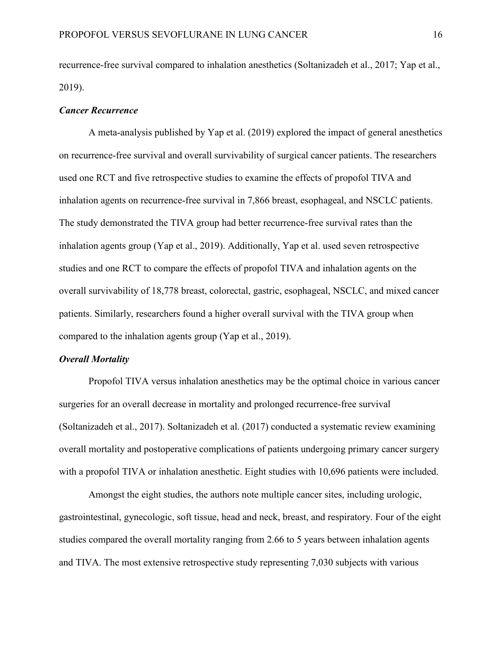recurrence-free survival compared to inhalation anesthetics (Soltanizadeh et al., 2017; Yap et al., 2019).

#### *Cancer Recurrence*

A meta-analysis published by Yap et al. (2019) explored the impact of general anesthetics on recurrence-free survival and overall survivability of surgical cancer patients. The researchers used one RCT and five retrospective studies to examine the effects of propofol TIVA and inhalation agents on recurrence-free survival in 7,866 breast, esophageal, and NSCLC patients. The study demonstrated the TIVA group had better recurrence-free survival rates than the inhalation agents group (Yap et al., 2019). Additionally, Yap et al. used seven retrospective studies and one RCT to compare the effects of propofol TIVA and inhalation agents on the overall survivability of 18,778 breast, colorectal, gastric, esophageal, NSCLC, and mixed cancer patients. Similarly, researchers found a higher overall survival with the TIVA group when compared to the inhalation agents group (Yap et al., 2019).

#### *Overall Mortality*

Propofol TIVA versus inhalation anesthetics may be the optimal choice in various cancer surgeries for an overall decrease in mortality and prolonged recurrence-free survival (Soltanizadeh et al., 2017). Soltanizadeh et al. (2017) conducted a systematic review examining overall mortality and postoperative complications of patients undergoing primary cancer surgery with a propofol TIVA or inhalation anesthetic. Eight studies with 10,696 patients were included.

Amongst the eight studies, the authors note multiple cancer sites, including urologic, gastrointestinal, gynecologic, soft tissue, head and neck, breast, and respiratory. Four of the eight studies compared the overall mortality ranging from 2.66 to 5 years between inhalation agents and TIVA. The most extensive retrospective study representing 7,030 subjects with various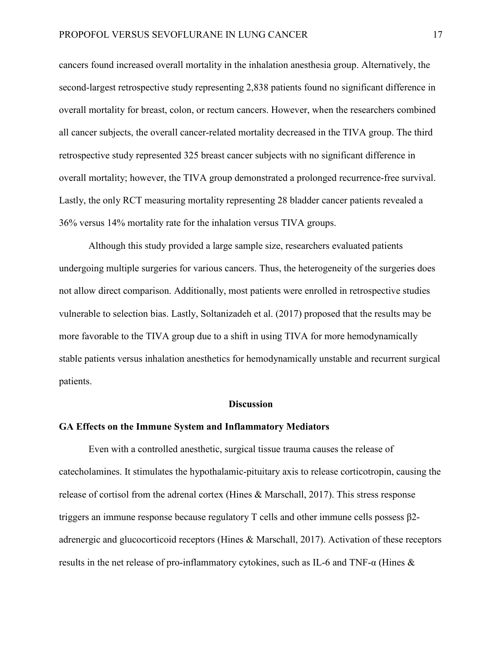cancers found increased overall mortality in the inhalation anesthesia group. Alternatively, the second-largest retrospective study representing 2,838 patients found no significant difference in overall mortality for breast, colon, or rectum cancers. However, when the researchers combined all cancer subjects, the overall cancer-related mortality decreased in the TIVA group. The third retrospective study represented 325 breast cancer subjects with no significant difference in overall mortality; however, the TIVA group demonstrated a prolonged recurrence-free survival. Lastly, the only RCT measuring mortality representing 28 bladder cancer patients revealed a 36% versus 14% mortality rate for the inhalation versus TIVA groups.

Although this study provided a large sample size, researchers evaluated patients undergoing multiple surgeries for various cancers. Thus, the heterogeneity of the surgeries does not allow direct comparison. Additionally, most patients were enrolled in retrospective studies vulnerable to selection bias. Lastly, Soltanizadeh et al. (2017) proposed that the results may be more favorable to the TIVA group due to a shift in using TIVA for more hemodynamically stable patients versus inhalation anesthetics for hemodynamically unstable and recurrent surgical patients.

#### **Discussion**

#### **GA Effects on the Immune System and Inflammatory Mediators**

Even with a controlled anesthetic, surgical tissue trauma causes the release of catecholamines. It stimulates the hypothalamic-pituitary axis to release corticotropin, causing the release of cortisol from the adrenal cortex (Hines & Marschall, 2017). This stress response triggers an immune response because regulatory T cells and other immune cells possess β2 adrenergic and glucocorticoid receptors (Hines & Marschall, 2017). Activation of these receptors results in the net release of pro-inflammatory cytokines, such as IL-6 and TNF-α (Hines &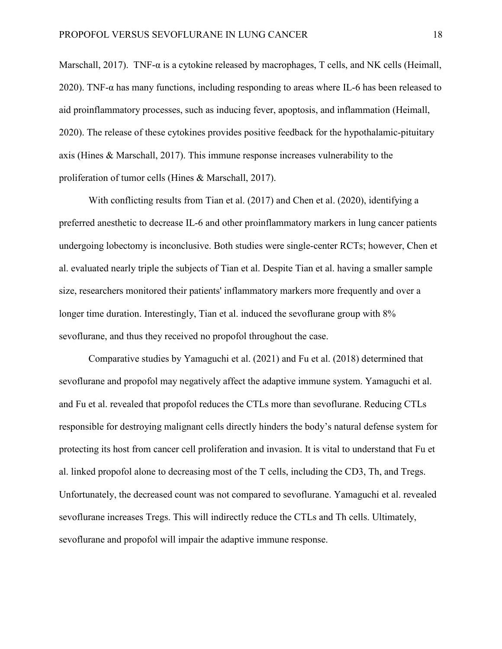Marschall, 2017). TNF-α is a cytokine released by macrophages, T cells, and NK cells (Heimall, 2020). TNF-α has many functions, including responding to areas where IL-6 has been released to aid proinflammatory processes, such as inducing fever, apoptosis, and inflammation (Heimall, 2020). The release of these cytokines provides positive feedback for the hypothalamic-pituitary axis (Hines & Marschall, 2017). This immune response increases vulnerability to the proliferation of tumor cells (Hines & Marschall, 2017).

With conflicting results from Tian et al. (2017) and Chen et al. (2020), identifying a preferred anesthetic to decrease IL-6 and other proinflammatory markers in lung cancer patients undergoing lobectomy is inconclusive. Both studies were single-center RCTs; however, Chen et al. evaluated nearly triple the subjects of Tian et al. Despite Tian et al. having a smaller sample size, researchers monitored their patients' inflammatory markers more frequently and over a longer time duration. Interestingly, Tian et al. induced the sevoflurane group with  $8\%$ sevoflurane, and thus they received no propofol throughout the case.

Comparative studies by Yamaguchi et al. (2021) and Fu et al. (2018) determined that sevoflurane and propofol may negatively affect the adaptive immune system. Yamaguchi et al. and Fu et al. revealed that propofol reduces the CTLs more than sevoflurane. Reducing CTLs responsible for destroying malignant cells directly hinders the body's natural defense system for protecting its host from cancer cell proliferation and invasion. It is vital to understand that Fu et al. linked propofol alone to decreasing most of the T cells, including the CD3, Th, and Tregs. Unfortunately, the decreased count was not compared to sevoflurane. Yamaguchi et al. revealed sevoflurane increases Tregs. This will indirectly reduce the CTLs and Th cells. Ultimately, sevoflurane and propofol will impair the adaptive immune response.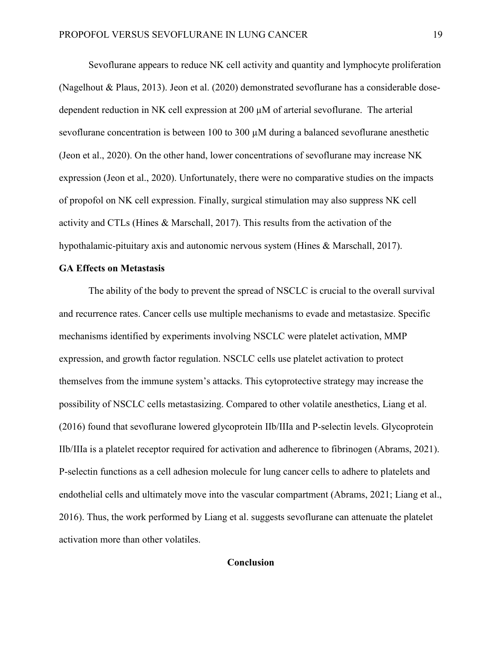Sevoflurane appears to reduce NK cell activity and quantity and lymphocyte proliferation (Nagelhout & Plaus, 2013). Jeon et al. (2020) demonstrated sevoflurane has a considerable dosedependent reduction in NK cell expression at 200 µM of arterial sevoflurane. The arterial sevoflurane concentration is between 100 to 300 µM during a balanced sevoflurane anesthetic (Jeon et al., 2020). On the other hand, lower concentrations of sevoflurane may increase NK expression (Jeon et al., 2020). Unfortunately, there were no comparative studies on the impacts of propofol on NK cell expression. Finally, surgical stimulation may also suppress NK cell activity and CTLs (Hines & Marschall, 2017). This results from the activation of the hypothalamic-pituitary axis and autonomic nervous system (Hines & Marschall, 2017).

#### **GA Effects on Metastasis**

The ability of the body to prevent the spread of NSCLC is crucial to the overall survival and recurrence rates. Cancer cells use multiple mechanisms to evade and metastasize. Specific mechanisms identified by experiments involving NSCLC were platelet activation, MMP expression, and growth factor regulation. NSCLC cells use platelet activation to protect themselves from the immune system's attacks. This cytoprotective strategy may increase the possibility of NSCLC cells metastasizing. Compared to other volatile anesthetics, Liang et al. (2016) found that sevoflurane lowered glycoprotein IIb/IIIa and P-selectin levels. Glycoprotein IIb/IIIa is a platelet receptor required for activation and adherence to fibrinogen (Abrams, 2021). P-selectin functions as a cell adhesion molecule for lung cancer cells to adhere to platelets and endothelial cells and ultimately move into the vascular compartment (Abrams, 2021; Liang et al., 2016). Thus, the work performed by Liang et al. suggests sevoflurane can attenuate the platelet activation more than other volatiles.

## **Conclusion**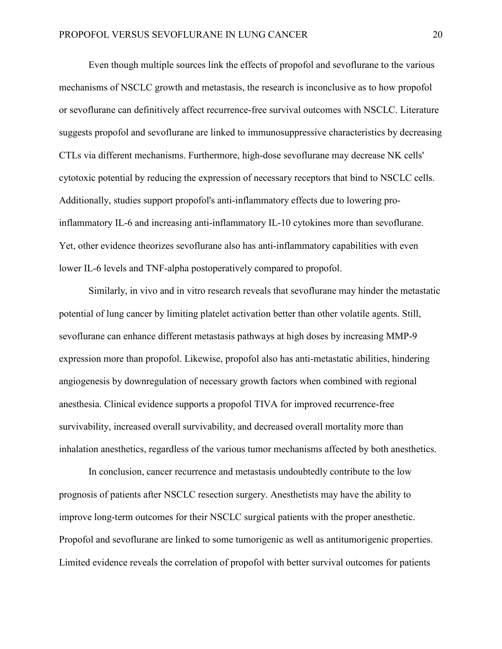Even though multiple sources link the effects of propofol and sevoflurane to the various mechanisms of NSCLC growth and metastasis, the research is inconclusive as to how propofol or sevoflurane can definitively affect recurrence-free survival outcomes with NSCLC. Literature suggests propofol and sevoflurane are linked to immunosuppressive characteristics by decreasing CTLs via different mechanisms. Furthermore, high-dose sevoflurane may decrease NK cells' cytotoxic potential by reducing the expression of necessary receptors that bind to NSCLC cells. Additionally, studies support propofol's anti-inflammatory effects due to lowering proinflammatory IL-6 and increasing anti-inflammatory IL-10 cytokines more than sevoflurane. Yet, other evidence theorizes sevoflurane also has anti-inflammatory capabilities with even lower IL-6 levels and TNF-alpha postoperatively compared to propofol.

Similarly, in vivo and in vitro research reveals that sevoflurane may hinder the metastatic potential of lung cancer by limiting platelet activation better than other volatile agents. Still, sevoflurane can enhance different metastasis pathways at high doses by increasing MMP-9 expression more than propofol. Likewise, propofol also has anti-metastatic abilities, hindering angiogenesis by downregulation of necessary growth factors when combined with regional anesthesia. Clinical evidence supports a propofol TIVA for improved recurrence-free survivability, increased overall survivability, and decreased overall mortality more than inhalation anesthetics, regardless of the various tumor mechanisms affected by both anesthetics.

In conclusion, cancer recurrence and metastasis undoubtedly contribute to the low prognosis of patients after NSCLC resection surgery. Anesthetists may have the ability to improve long-term outcomes for their NSCLC surgical patients with the proper anesthetic. Propofol and sevoflurane are linked to some tumorigenic as well as antitumorigenic properties. Limited evidence reveals the correlation of propofol with better survival outcomes for patients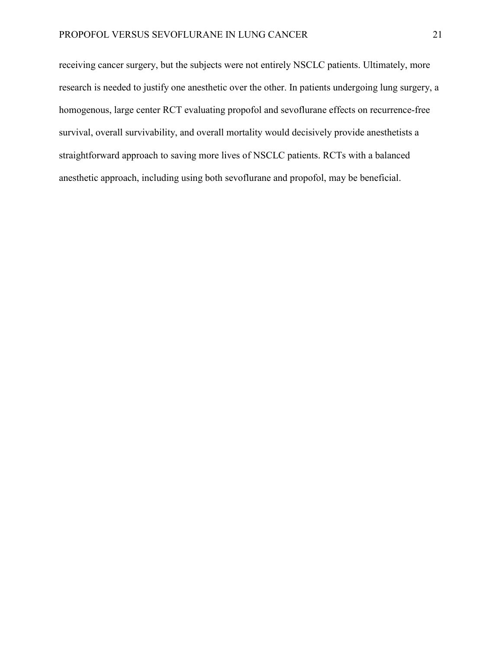receiving cancer surgery, but the subjects were not entirely NSCLC patients. Ultimately, more research is needed to justify one anesthetic over the other. In patients undergoing lung surgery, a homogenous, large center RCT evaluating propofol and sevoflurane effects on recurrence-free survival, overall survivability, and overall mortality would decisively provide anesthetists a straightforward approach to saving more lives of NSCLC patients. RCTs with a balanced anesthetic approach, including using both sevoflurane and propofol, may be beneficial.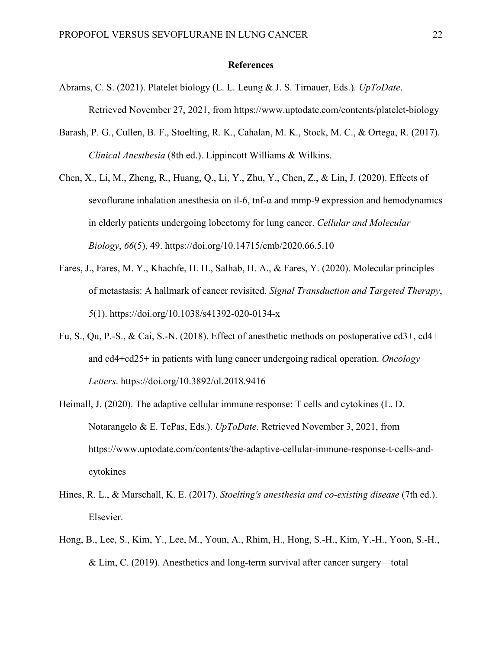#### **References**

- Abrams, C. S. (2021). Platelet biology (L. L. Leung & J. S. Tirnauer, Eds.). *UpToDate*. Retrieved November 27, 2021, from<https://www.uptodate.com/contents/platelet-biology>
- Barash, P. G., Cullen, B. F., Stoelting, R. K., Cahalan, M. K., Stock, M. C., & Ortega, R. (2017). *Clinical Anesthesia* (8th ed.). Lippincott Williams & Wilkins.
- Chen, X., Li, M., Zheng, R., Huang, Q., Li, Y., Zhu, Y., Chen, Z., & Lin, J. (2020). Effects of sevoflurane inhalation anesthesia on il-6, tnf- $\alpha$  and mmp-9 expression and hemodynamics in elderly patients undergoing lobectomy for lung cancer. *Cellular and Molecular Biology*, *66*(5), 49.<https://doi.org/10.14715/cmb/2020.66.5.10>
- Fares, J., Fares, M. Y., Khachfe, H. H., Salhab, H. A., & Fares, Y. (2020). Molecular principles of metastasis: A hallmark of cancer revisited. *Signal Transduction and Targeted Therapy*, *5*(1).<https://doi.org/10.1038/s41392-020-0134-x>
- Fu, S., Qu, P.-S., & Cai, S.-N. (2018). Effect of anesthetic methods on postoperative cd3+, cd4+ and cd4+cd25+ in patients with lung cancer undergoing radical operation. *Oncology Letters*. <https://doi.org/10.3892/ol.2018.9416>
- Heimall, J. (2020). The adaptive cellular immune response: T cells and cytokines (L. D. Notarangelo & E. TePas, Eds.). *UpToDate*. Retrieved November 3, 2021, from [https://www.uptodate.com/contents/the-adaptive-cellular-immune-response-t-cells-and](https://www.uptodate.com/contents/the-adaptive-cellular-immune-response-t-cells-and-cytokines)[cytokines](https://www.uptodate.com/contents/the-adaptive-cellular-immune-response-t-cells-and-cytokines)
- Hines, R. L., & Marschall, K. E. (2017). *Stoelting's anesthesia and co-existing disease* (7th ed.). Elsevier.
- Hong, B., Lee, S., Kim, Y., Lee, M., Youn, A., Rhim, H., Hong, S.-H., Kim, Y.-H., Yoon, S.-H., & Lim, C. (2019). Anesthetics and long-term survival after cancer surgery—total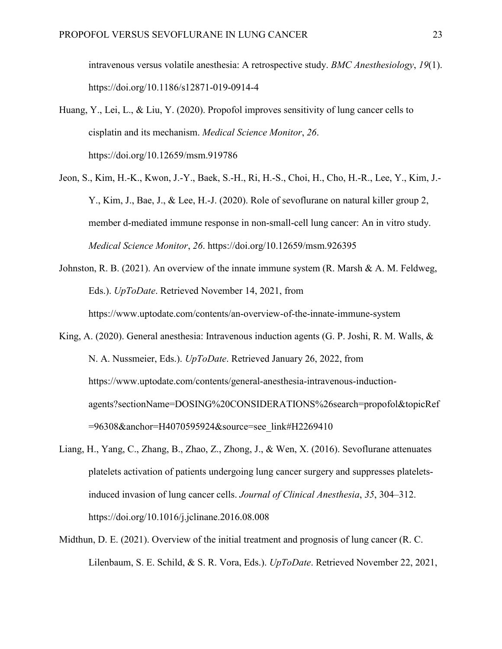intravenous versus volatile anesthesia: A retrospective study. *BMC Anesthesiology*, *19*(1). <https://doi.org/10.1186/s12871-019-0914-4>

- Huang, Y., Lei, L., & Liu, Y. (2020). Propofol improves sensitivity of lung cancer cells to cisplatin and its mechanism. *Medical Science Monitor*, *26*. <https://doi.org/10.12659/msm.919786>
- Jeon, S., Kim, H.-K., Kwon, J.-Y., Baek, S.-H., Ri, H.-S., Choi, H., Cho, H.-R., Lee, Y., Kim, J.- Y., Kim, J., Bae, J., & Lee, H.-J. (2020). Role of sevoflurane on natural killer group 2, member d-mediated immune response in non-small-cell lung cancer: An in vitro study. *Medical Science Monitor*, *26*.<https://doi.org/10.12659/msm.926395>
- Johnston, R. B. (2021). An overview of the innate immune system (R. Marsh & A. M. Feldweg, Eds.). *UpToDate*. Retrieved November 14, 2021, from <https://www.uptodate.com/contents/an-overview-of-the-innate-immune-system>
- King, A. (2020). General anesthesia: Intravenous induction agents (G. P. Joshi, R. M. Walls, & N. A. Nussmeier, Eds.). *UpToDate*. Retrieved January 26, 2022, from [https://www.uptodate.com/contents/general-anesthesia-intravenous-induction](https://www.uptodate.com/contents/general-anesthesia-intravenous-induction-agents?sectionName=DOSING%20CONSIDERATIONS%26search=propofol&topicRef=96308&anchor=H4070595924&source=see_link#H2269410)[agents?sectionName=DOSING%20CONSIDERATIONS%26search=propofol&topicRef](https://www.uptodate.com/contents/general-anesthesia-intravenous-induction-agents?sectionName=DOSING%20CONSIDERATIONS%26search=propofol&topicRef=96308&anchor=H4070595924&source=see_link#H2269410) [=96308&anchor=H4070595924&source=see\\_link#H2269410](https://www.uptodate.com/contents/general-anesthesia-intravenous-induction-agents?sectionName=DOSING%20CONSIDERATIONS%26search=propofol&topicRef=96308&anchor=H4070595924&source=see_link#H2269410)
- Liang, H., Yang, C., Zhang, B., Zhao, Z., Zhong, J., & Wen, X. (2016). Sevoflurane attenuates platelets activation of patients undergoing lung cancer surgery and suppresses plateletsinduced invasion of lung cancer cells. *Journal of Clinical Anesthesia*, *35*, 304–312. <https://doi.org/10.1016/j.jclinane.2016.08.008>
- Midthun, D. E. (2021). Overview of the initial treatment and prognosis of lung cancer (R. C. Lilenbaum, S. E. Schild, & S. R. Vora, Eds.). *UpToDate*. Retrieved November 22, 2021,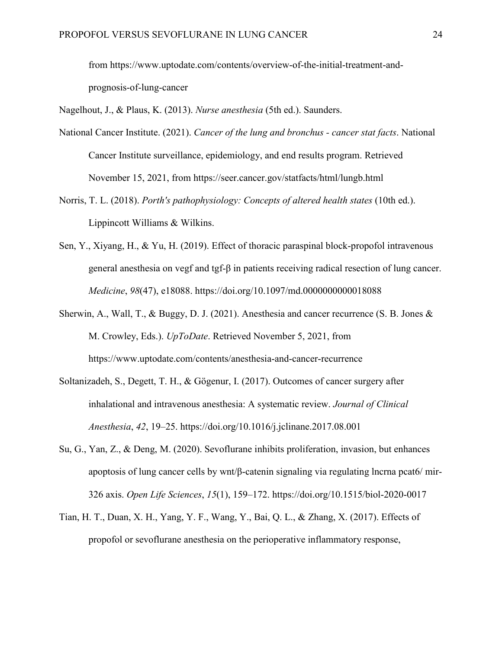from [https://www.uptodate.com/contents/overview-of-the-initial-treatment-and](https://www.uptodate.com/contents/overview-of-the-initial-treatment-and-prognosis-of-lung-cancer)[prognosis-of-lung-cancer](https://www.uptodate.com/contents/overview-of-the-initial-treatment-and-prognosis-of-lung-cancer)

Nagelhout, J., & Plaus, K. (2013). *Nurse anesthesia* (5th ed.). Saunders.

- National Cancer Institute. (2021). *Cancer of the lung and bronchus - cancer stat facts*. National Cancer Institute surveillance, epidemiology, and end results program. Retrieved November 15, 2021, from<https://seer.cancer.gov/statfacts/html/lungb.html>
- Norris, T. L. (2018). *Porth's pathophysiology: Concepts of altered health states* (10th ed.). Lippincott Williams & Wilkins.
- Sen, Y., Xiyang, H., & Yu, H. (2019). Effect of thoracic paraspinal block-propofol intravenous general anesthesia on vegf and tgf-β in patients receiving radical resection of lung cancer. *Medicine*, *98*(47), e18088.<https://doi.org/10.1097/md.0000000000018088>
- Sherwin, A., Wall, T., & Buggy, D. J. (2021). Anesthesia and cancer recurrence (S. B. Jones & M. Crowley, Eds.). *UpToDate*. Retrieved November 5, 2021, from <https://www.uptodate.com/contents/anesthesia-and-cancer-recurrence>
- Soltanizadeh, S., Degett, T. H., & Gögenur, I. (2017). Outcomes of cancer surgery after inhalational and intravenous anesthesia: A systematic review. *Journal of Clinical Anesthesia*, *42*, 19–25.<https://doi.org/10.1016/j.jclinane.2017.08.001>
- Su, G., Yan, Z., & Deng, M. (2020). Sevoflurane inhibits proliferation, invasion, but enhances apoptosis of lung cancer cells by wnt/β-catenin signaling via regulating lncrna pcat6/ mir-326 axis. *Open Life Sciences*, *15*(1), 159–172.<https://doi.org/10.1515/biol-2020-0017>
- Tian, H. T., Duan, X. H., Yang, Y. F., Wang, Y., Bai, Q. L., & Zhang, X. (2017). Effects of propofol or sevoflurane anesthesia on the perioperative inflammatory response,